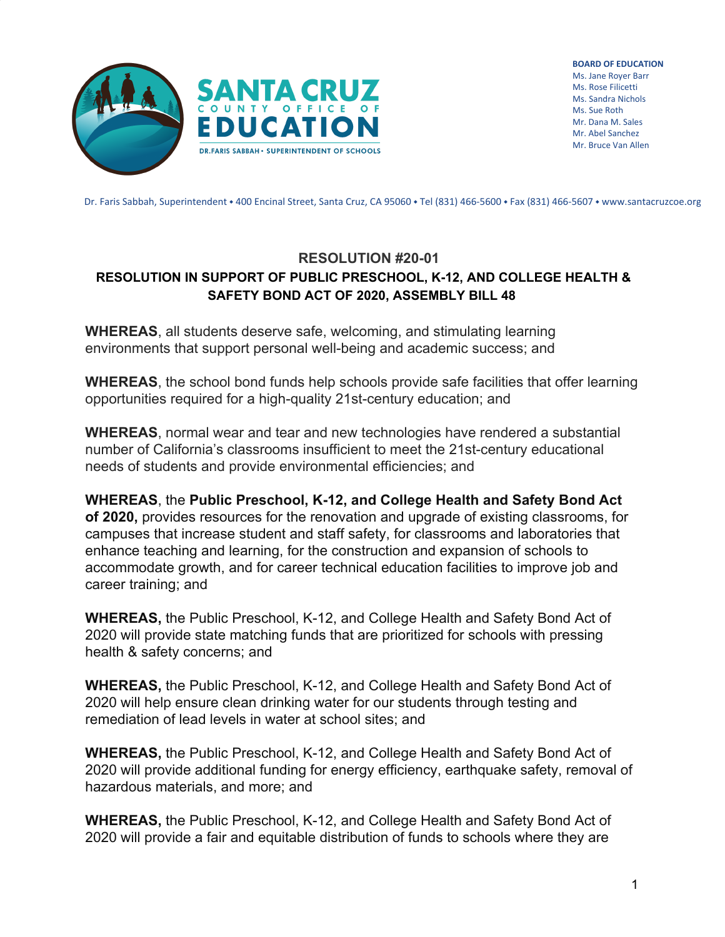

**BOARD OF EDUCATION** Ms. Jane Royer Barr Ms. Rose Filicetti Ms. Sandra Nichols Ms. Sue Roth Mr. Dana M. Sales Mr. Abel Sanchez Mr. Bruce Van Allen

Dr. Faris Sabbah, Superintendent • 400 Encinal Street, Santa Cruz, CA 95060 • Tel (831) 466-5600 • Fax (831) 466-5607 • www.santacruzcoe.org

## **RESOLUTION #20-01 RESOLUTION IN SUPPORT OF PUBLIC PRESCHOOL, K-12, AND COLLEGE HEALTH & SAFETY BOND ACT OF 2020, ASSEMBLY BILL 48**

**WHEREAS**, all students deserve safe, welcoming, and stimulating learning environments that support personal well-being and academic success; and

**WHEREAS**, the school bond funds help schools provide safe facilities that offer learning opportunities required for a high-quality 21st-century education; and

**WHEREAS**, normal wear and tear and new technologies have rendered a substantial number of California's classrooms insufficient to meet the 21st-century educational needs of students and provide environmental efficiencies; and

**WHEREAS**, the **Public Preschool, K-12, and College Health and Safety Bond Act of 2020,** provides resources for the renovation and upgrade of existing classrooms, for campuses that increase student and staff safety, for classrooms and laboratories that enhance teaching and learning, for the construction and expansion of schools to accommodate growth, and for career technical education facilities to improve job and career training; and

**WHEREAS,** the Public Preschool, K-12, and College Health and Safety Bond Act of 2020 will provide state matching funds that are prioritized for schools with pressing health & safety concerns; and

**WHEREAS,** the Public Preschool, K-12, and College Health and Safety Bond Act of 2020 will help ensure clean drinking water for our students through testing and remediation of lead levels in water at school sites; and

**WHEREAS,** the Public Preschool, K-12, and College Health and Safety Bond Act of 2020 will provide additional funding for energy efficiency, earthquake safety, removal of hazardous materials, and more; and

**WHEREAS,** the Public Preschool, K-12, and College Health and Safety Bond Act of 2020 will provide a fair and equitable distribution of funds to schools where they are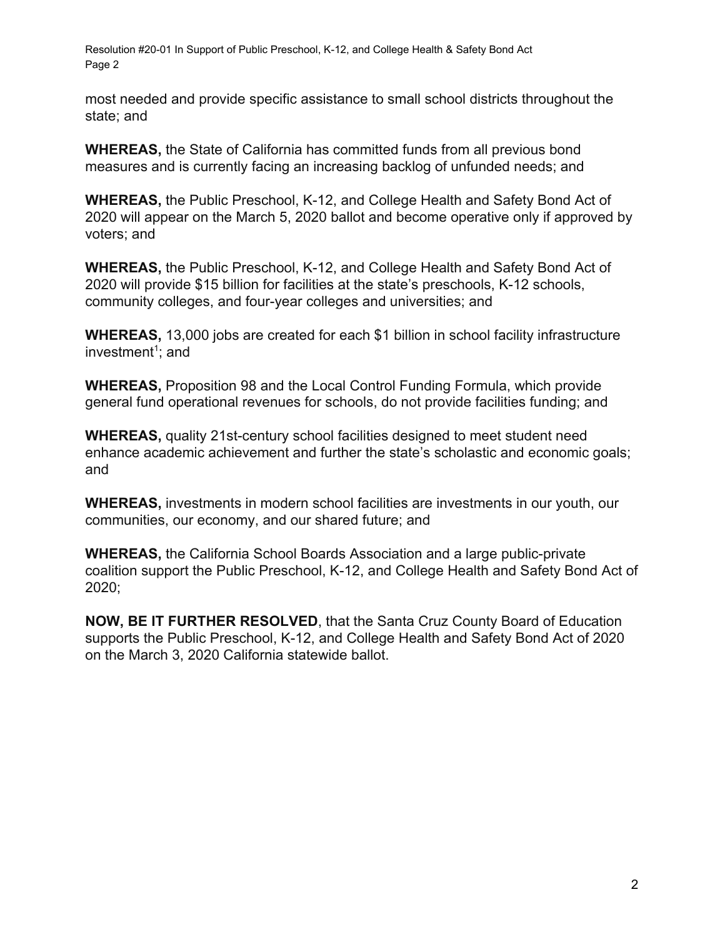Resolution #20-01 In Support of Public Preschool, K-12, and College Health & Safety Bond Act Page 2

most needed and provide specific assistance to small school districts throughout the state; and

**WHEREAS,** the State of California has committed funds from all previous bond measures and is currently facing an increasing backlog of unfunded needs; and

**WHEREAS,** the Public Preschool, K-12, and College Health and Safety Bond Act of 2020 will appear on the March 5, 2020 ballot and become operative only if approved by voters; and

**WHEREAS,** the Public Preschool, K-12, and College Health and Safety Bond Act of 2020 will provide \$15 billion for facilities at the state's preschools, K-12 schools, community colleges, and four-year colleges and universities; and

**WHEREAS,** 13,000 jobs are created for each \$1 billion in school facility infrastructure investment<sup>1</sup>; and

**WHEREAS,** Proposition 98 and the Local Control Funding Formula, which provide general fund operational revenues for schools, do not provide facilities funding; and

**WHEREAS,** quality 21st-century school facilities designed to meet student need enhance academic achievement and further the state's scholastic and economic goals; and

**WHEREAS,** investments in modern school facilities are investments in our youth, our communities, our economy, and our shared future; and

**WHEREAS,** the California School Boards Association and a large public-private coalition support the Public Preschool, K-12, and College Health and Safety Bond Act of 2020;

**NOW, BE IT FURTHER RESOLVED**, that the Santa Cruz County Board of Education supports the Public Preschool, K-12, and College Health and Safety Bond Act of 2020 on the March 3, 2020 California statewide ballot.